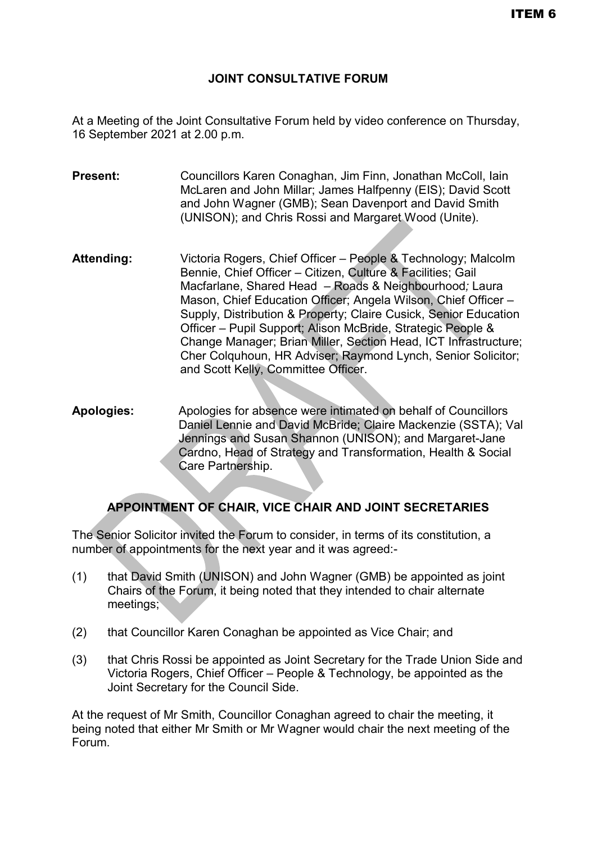#### **JOINT CONSULTATIVE FORUM**

At a Meeting of the Joint Consultative Forum held by video conference on Thursday, 16 September 2021 at 2.00 p.m.

**Present:** Councillors Karen Conaghan, Jim Finn, Jonathan McColl, Iain McLaren and John Millar; James Halfpenny (EIS); David Scott and John Wagner (GMB); Sean Davenport and David Smith (UNISON); and Chris Rossi and Margaret Wood (Unite).

- **Attending:** Victoria Rogers, Chief Officer People & Technology; Malcolm Bennie, Chief Officer – Citizen, Culture & Facilities; Gail Macfarlane, Shared Head – Roads & Neighbourhood*;* Laura Mason, Chief Education Officer; Angela Wilson, Chief Officer – Supply, Distribution & Property; Claire Cusick, Senior Education Officer – Pupil Support; Alison McBride, Strategic People & Change Manager; Brian Miller, Section Head, ICT Infrastructure; Cher Colquhoun, HR Adviser; Raymond Lynch, Senior Solicitor; and Scott Kelly, Committee Officer.
- **Apologies:** Apologies for absence were intimated on behalf of Councillors Daniel Lennie and David McBride; Claire Mackenzie (SSTA); Val Jennings and Susan Shannon (UNISON); and Margaret-Jane Cardno, Head of Strategy and Transformation, Health & Social Care Partnership.

#### **APPOINTMENT OF CHAIR, VICE CHAIR AND JOINT SECRETARIES**

The Senior Solicitor invited the Forum to consider, in terms of its constitution, a number of appointments for the next year and it was agreed:-

- (1) that David Smith (UNISON) and John Wagner (GMB) be appointed as joint Chairs of the Forum, it being noted that they intended to chair alternate meetings;
- (2) that Councillor Karen Conaghan be appointed as Vice Chair; and
- (3) that Chris Rossi be appointed as Joint Secretary for the Trade Union Side and Victoria Rogers, Chief Officer – People & Technology, be appointed as the Joint Secretary for the Council Side.

At the request of Mr Smith, Councillor Conaghan agreed to chair the meeting, it being noted that either Mr Smith or Mr Wagner would chair the next meeting of the Forum.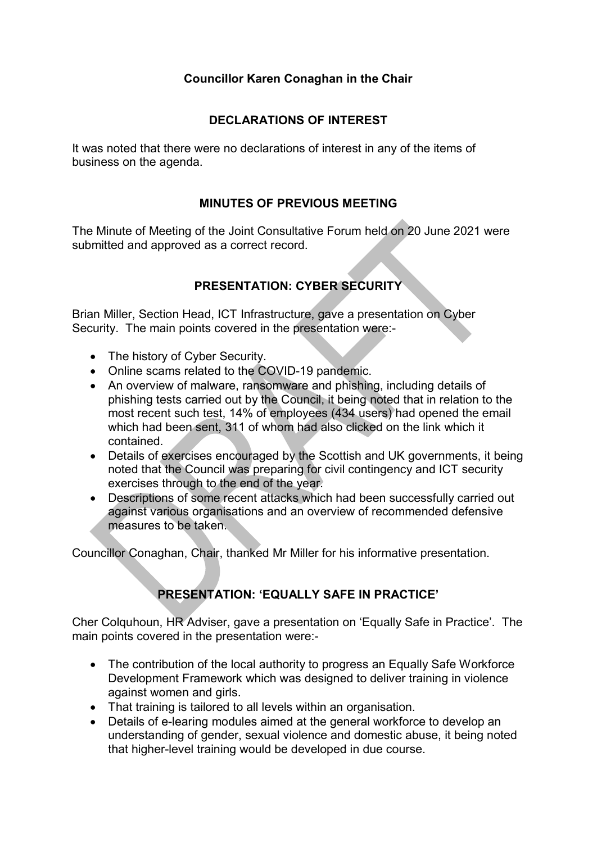## **Councillor Karen Conaghan in the Chair**

### **DECLARATIONS OF INTEREST**

It was noted that there were no declarations of interest in any of the items of business on the agenda.

### **MINUTES OF PREVIOUS MEETING**

The Minute of Meeting of the Joint Consultative Forum held on 20 June 2021 were submitted and approved as a correct record.

## **PRESENTATION: CYBER SECURITY**

Brian Miller, Section Head, ICT Infrastructure, gave a presentation on Cyber Security. The main points covered in the presentation were:-

- The history of Cyber Security.
- Online scams related to the COVID-19 pandemic.
- An overview of malware, ransomware and phishing, including details of phishing tests carried out by the Council, it being noted that in relation to the most recent such test, 14% of employees (434 users) had opened the email which had been sent, 311 of whom had also clicked on the link which it contained.
- Details of exercises encouraged by the Scottish and UK governments, it being noted that the Council was preparing for civil contingency and ICT security exercises through to the end of the year.
- Descriptions of some recent attacks which had been successfully carried out against various organisations and an overview of recommended defensive measures to be taken.

Councillor Conaghan, Chair, thanked Mr Miller for his informative presentation.

# **PRESENTATION: 'EQUALLY SAFE IN PRACTICE'**

Cher Colquhoun, HR Adviser, gave a presentation on 'Equally Safe in Practice'. The main points covered in the presentation were:-

- The contribution of the local authority to progress an Equally Safe Workforce Development Framework which was designed to deliver training in violence against women and girls.
- That training is tailored to all levels within an organisation.
- Details of e-learing modules aimed at the general workforce to develop an understanding of gender, sexual violence and domestic abuse, it being noted that higher-level training would be developed in due course.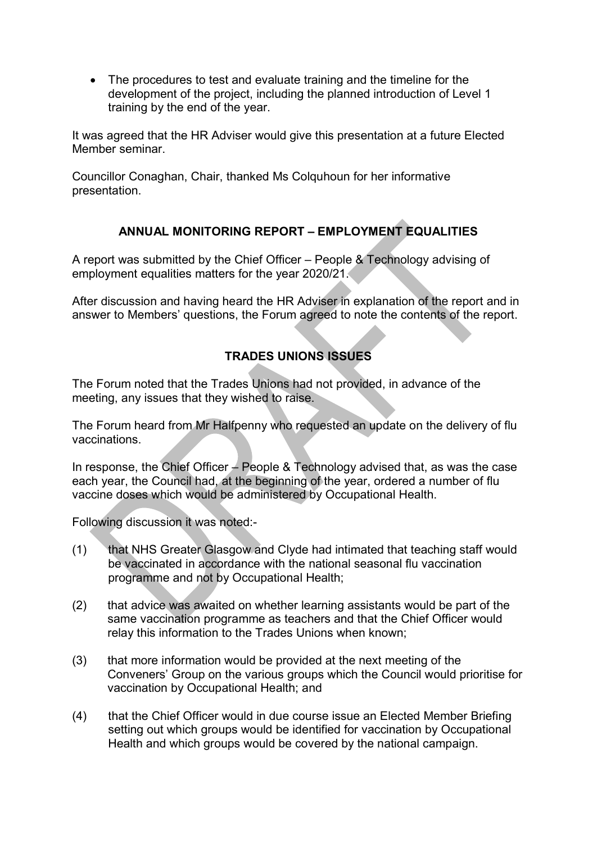• The procedures to test and evaluate training and the timeline for the development of the project, including the planned introduction of Level 1 training by the end of the year.

It was agreed that the HR Adviser would give this presentation at a future Elected Member seminar.

Councillor Conaghan, Chair, thanked Ms Colquhoun for her informative presentation.

## **ANNUAL MONITORING REPORT – EMPLOYMENT EQUALITIES**

A report was submitted by the Chief Officer – People & Technology advising of employment equalities matters for the year 2020/21.

After discussion and having heard the HR Adviser in explanation of the report and in answer to Members' questions, the Forum agreed to note the contents of the report.

# **TRADES UNIONS ISSUES**

The Forum noted that the Trades Unions had not provided, in advance of the meeting, any issues that they wished to raise.

The Forum heard from Mr Halfpenny who requested an update on the delivery of flu vaccinations.

In response, the Chief Officer  $\angle$  People & Technology advised that, as was the case each year, the Council had, at the beginning of the year, ordered a number of flu vaccine doses which would be administered by Occupational Health.

Following discussion it was noted:-

- (1) that NHS Greater Glasgow and Clyde had intimated that teaching staff would be vaccinated in accordance with the national seasonal flu vaccination programme and not by Occupational Health;
- (2) that advice was awaited on whether learning assistants would be part of the same vaccination programme as teachers and that the Chief Officer would relay this information to the Trades Unions when known;
- (3) that more information would be provided at the next meeting of the Conveners' Group on the various groups which the Council would prioritise for vaccination by Occupational Health; and
- (4) that the Chief Officer would in due course issue an Elected Member Briefing setting out which groups would be identified for vaccination by Occupational Health and which groups would be covered by the national campaign.